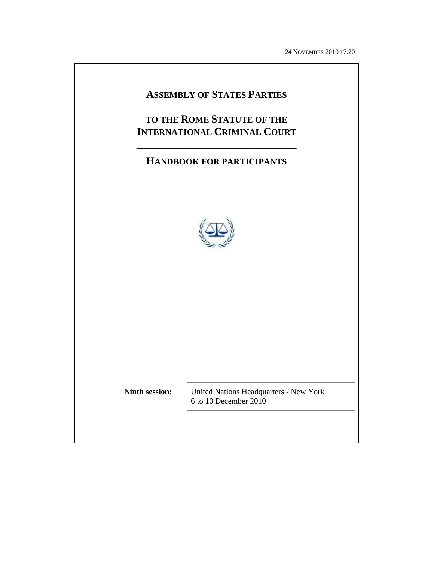24 NOVEMBER 2010 17.20

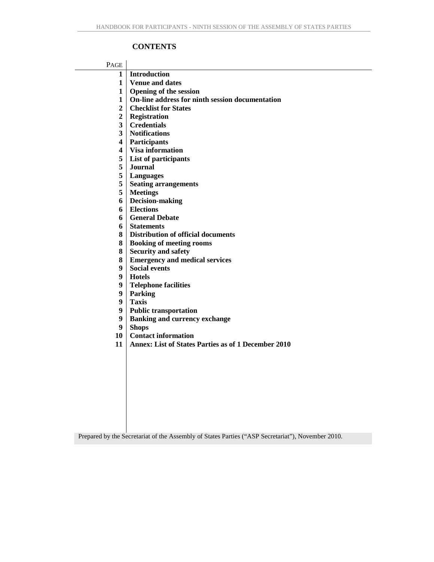## **CONTENTS**

#### PAGE

- **1 Introduction**
- **1 Venue and dates**
- **1 Opening of the session**
- **1 On-line address for ninth session documentation**
- **2 Checklist for States**
- **2 Registration**
- **3 Credentials**
- **3 Notifications**
- **4 Participants**
- **4 Visa information**
- **5 List of participants**
- **5 Journal**
- **5 Languages**
- **5 Seating arrangements**
- **5 Meetings**
- **6 Decision-making**
- **6 Elections**
- **6 General Debate**
- **6 Statements**
- **8 Distribution of official documents**
- **8 Booking of meeting rooms**
- **8 Security and safety**
- **8 Emergency and medical services**
- **9 Social events**
- **9 Hotels**
- **9 Telephone facilities**
- **9 Parking**
- **9 Taxis**
- **9 Public transportation**
- **9 Banking and currency exchange**
- **9 Shops**
- **10 Contact information**
- **11 Annex: List of States Parties as of 1 December 2010**

Prepared by the Secretariat of the Assembly of States Parties ("ASP Secretariat"), November 2010.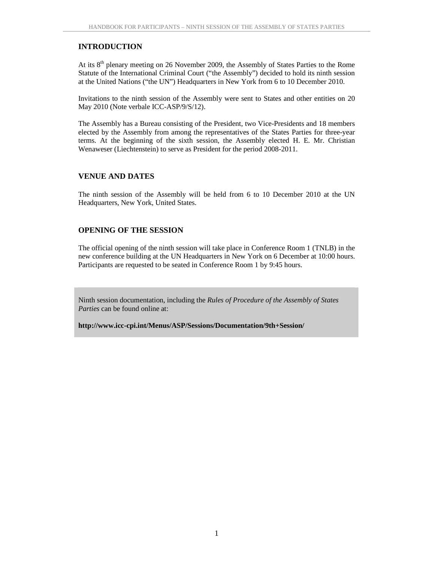## **INTRODUCTION**

At its 8<sup>th</sup> plenary meeting on 26 November 2009, the Assembly of States Parties to the Rome Statute of the International Criminal Court ("the Assembly") decided to hold its ninth session at the United Nations ("the UN") Headquarters in New York from 6 to 10 December 2010.

Invitations to the ninth session of the Assembly were sent to States and other entities on 20 May 2010 (Note verbale ICC-ASP/9/S/12).

The Assembly has a Bureau consisting of the President, two Vice-Presidents and 18 members elected by the Assembly from among the representatives of the States Parties for three-year terms. At the beginning of the sixth session, the Assembly elected H. E. Mr. Christian Wenaweser (Liechtenstein) to serve as President for the period 2008-2011.

## **VENUE AND DATES**

The ninth session of the Assembly will be held from 6 to 10 December 2010 at the UN Headquarters, New York, United States.

## **OPENING OF THE SESSION**

The official opening of the ninth session will take place in Conference Room 1 (TNLB) in the new conference building at the UN Headquarters in New York on 6 December at 10:00 hours. Participants are requested to be seated in Conference Room 1 by 9:45 hours.

Ninth session documentation, including the *Rules of Procedure of the Assembly of States Parties* can be found online at:

**http://www.icc-cpi.int/Menus/ASP/Sessions/Documentation/9th+Session/**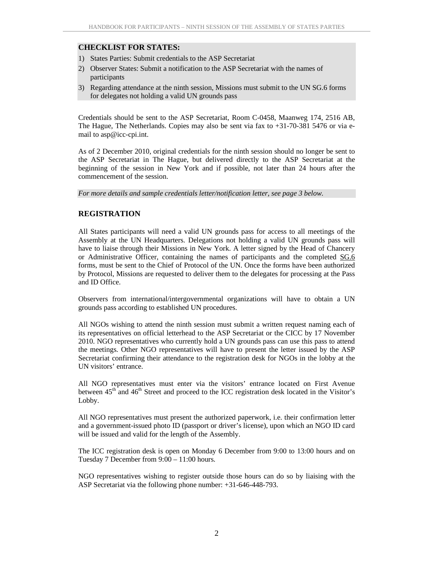## **CHECKLIST FOR STATES:**

- 1) States Parties: Submit credentials to the ASP Secretariat
- 2) Observer States: Submit a notification to the ASP Secretariat with the names of participants
- 3) Regarding attendance at the ninth session, Missions must submit to the UN SG.6 forms for delegates not holding a valid UN grounds pass

Credentials should be sent to the ASP Secretariat, Room C-0458, Maanweg 174, 2516 AB, The Hague, The Netherlands. Copies may also be sent via fax to +31-70-381 5476 or via email to asp@icc-cpi.int.

As of 2 December 2010, original credentials for the ninth session should no longer be sent to the ASP Secretariat in The Hague, but delivered directly to the ASP Secretariat at the beginning of the session in New York and if possible, not later than 24 hours after the commencement of the session.

*For more details and sample credentials letter/notification letter, see page 3 below.* 

#### **REGISTRATION**

All States participants will need a valid UN grounds pass for access to all meetings of the Assembly at the UN Headquarters. Delegations not holding a valid UN grounds pass will have to liaise through their Missions in New York. A letter signed by the Head of Chancery or Administrative Officer, containing the names of participants and the completed SG.6 forms, must be sent to the Chief of Protocol of the UN. Once the forms have been authorized by Protocol, Missions are requested to deliver them to the delegates for processing at the Pass and ID Office.

Observers from international/intergovernmental organizations will have to obtain a UN grounds pass according to established UN procedures.

All NGOs wishing to attend the ninth session must submit a written request naming each of its representatives on official letterhead to the ASP Secretariat or the CICC by 17 November 2010. NGO representatives who currently hold a UN grounds pass can use this pass to attend the meetings. Other NGO representatives will have to present the letter issued by the ASP Secretariat confirming their attendance to the registration desk for NGOs in the lobby at the UN visitors' entrance.

All NGO representatives must enter via the visitors' entrance located on First Avenue between  $45<sup>th</sup>$  and  $46<sup>th</sup>$  Street and proceed to the ICC registration desk located in the Visitor's Lobby.

All NGO representatives must present the authorized paperwork, i.e. their confirmation letter and a government-issued photo ID (passport or driver's license), upon which an NGO ID card will be issued and valid for the length of the Assembly.

The ICC registration desk is open on Monday 6 December from 9:00 to 13:00 hours and on Tuesday 7 December from 9:00 – 11:00 hours.

NGO representatives wishing to register outside those hours can do so by liaising with the ASP Secretariat via the following phone number: +31-646-448-793.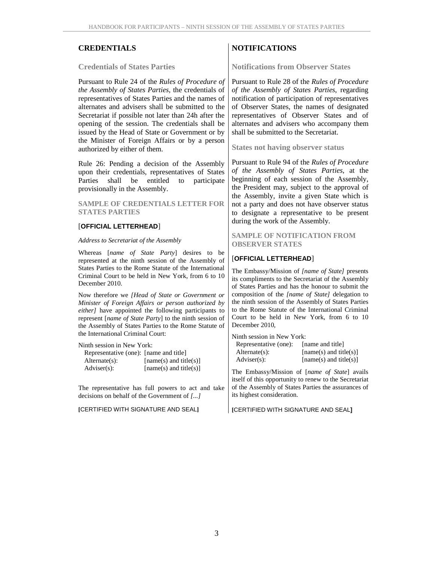**Credentials of States Parties** 

Pursuant to Rule 24 of the *Rules of Procedure of the Assembly of States Parties*, the credentials of representatives of States Parties and the names of alternates and advisers shall be submitted to the Secretariat if possible not later than 24h after the opening of the session. The credentials shall be issued by the Head of State or Government or by the Minister of Foreign Affairs or by a person authorized by either of them.

Rule 26: Pending a decision of the Assembly upon their credentials, representatives of States Parties shall be entitled to participate provisionally in the Assembly.

**SAMPLE OF CREDENTIALS LETTER FOR STATES PARTIES** 

#### [**OFFICIAL LETTERHEAD**]

*Address to Secretariat of the Assembly* 

Whereas [*name of State Party*] desires to be represented at the ninth session of the Assembly of States Parties to the Rome Statute of the International Criminal Court to be held in New York, from 6 to 10 December 2010.

Now therefore we *[Head of State or Government or Minister of Foreign Affairs or person authorized by either]* have appointed the following participants to represent [*name of State Party*] to the ninth session of the Assembly of States Parties to the Rome Statute of the International Criminal Court:

Ninth session in New York:

| Representative (one): [name and title] |                          |
|----------------------------------------|--------------------------|
| $Alternate(s)$ :                       | $[name(s)$ and title(s)] |
| $Adviser(s)$ :                         | $[name(s)$ and title(s)] |

The representative has full powers to act and take decisions on behalf of the Government of *[...]* 

**[**CERTIFIED WITH SIGNATURE AND SEAL**]**

# CREDENTIALS NOTIFICATIONS

**Notifications from Observer States** 

Pursuant to Rule 28 of the *Rules of Procedure of the Assembly of States Parties*, regarding notification of participation of representatives of Observer States, the names of designated representatives of Observer States and of alternates and advisers who accompany them shall be submitted to the Secretariat.

**States not having observer status** 

Pursuant to Rule 94 of the *Rules of Procedure of the Assembly of States Parties*, at the beginning of each session of the Assembly, the President may, subject to the approval of the Assembly, invite a given State which is not a party and does not have observer status to designate a representative to be present during the work of the Assembly.

**SAMPLE OF NOTIFICATION FROM OBSERVER STATES** 

#### [**OFFICIAL LETTERHEAD**]

The Embassy/Mission of *[name of State]* presents its compliments to the Secretariat of the Assembly of States Parties and has the honour to submit the composition of the *[name of State]* delegation to the ninth session of the Assembly of States Parties to the Rome Statute of the International Criminal Court to be held in New York, from 6 to 10 December 2010,

Ninth session in New York: Representative (one): [name and title] Alternate(s): [name(s) and title(s)]  $Adviser(s):$  [name(s) and title(s)]

The Embassy/Mission of [*name of State*] avails itself of this opportunity to renew to the Secretariat of the Assembly of States Parties the assurances of its highest consideration.

**[**CERTIFIED WITH SIGNATURE AND SEAL**]**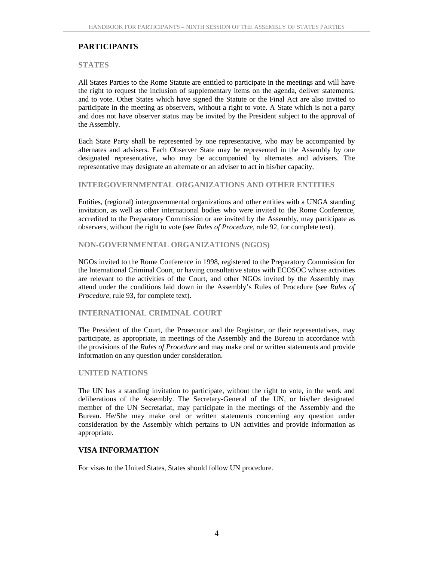## **PARTICIPANTS**

#### **STATES**

All States Parties to the Rome Statute are entitled to participate in the meetings and will have the right to request the inclusion of supplementary items on the agenda, deliver statements, and to vote. Other States which have signed the Statute or the Final Act are also invited to participate in the meeting as observers, without a right to vote. A State which is not a party and does not have observer status may be invited by the President subject to the approval of the Assembly.

Each State Party shall be represented by one representative, who may be accompanied by alternates and advisers. Each Observer State may be represented in the Assembly by one designated representative, who may be accompanied by alternates and advisers. The representative may designate an alternate or an adviser to act in his/her capacity.

#### **INTERGOVERNMENTAL ORGANIZATIONS AND OTHER ENTITIES**

Entities, (regional) intergovernmental organizations and other entities with a UNGA standing invitation, as well as other international bodies who were invited to the Rome Conference, accredited to the Preparatory Commission or are invited by the Assembly, may participate as observers, without the right to vote (see *Rules of Procedure*, rule 92, for complete text).

#### **NON-GOVERNMENTAL ORGANIZATIONS (NGOS)**

NGOs invited to the Rome Conference in 1998, registered to the Preparatory Commission for the International Criminal Court, or having consultative status with ECOSOC whose activities are relevant to the activities of the Court, and other NGOs invited by the Assembly may attend under the conditions laid down in the Assembly's Rules of Procedure (see *Rules of Procedure*, rule 93, for complete text).

#### **INTERNATIONAL CRIMINAL COURT**

The President of the Court, the Prosecutor and the Registrar, or their representatives, may participate, as appropriate, in meetings of the Assembly and the Bureau in accordance with the provisions of the *Rules of Procedure* and may make oral or written statements and provide information on any question under consideration.

#### **UNITED NATIONS**

The UN has a standing invitation to participate, without the right to vote, in the work and deliberations of the Assembly. The Secretary-General of the UN, or his/her designated member of the UN Secretariat, may participate in the meetings of the Assembly and the Bureau. He/She may make oral or written statements concerning any question under consideration by the Assembly which pertains to UN activities and provide information as appropriate.

#### **VISA INFORMATION**

For visas to the United States, States should follow UN procedure.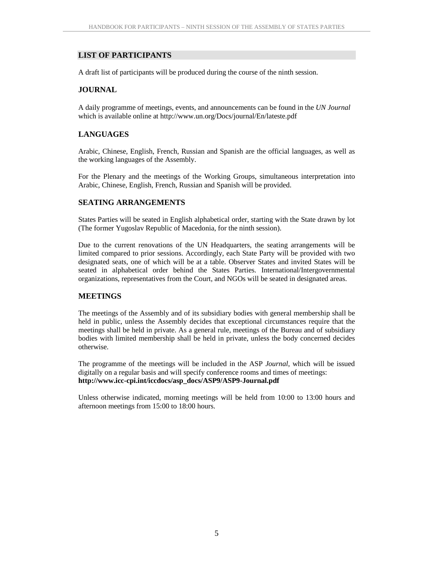#### **LIST OF PARTICIPANTS**

A draft list of participants will be produced during the course of the ninth session.

#### **JOURNAL**

A daily programme of meetings, events, and announcements can be found in the *UN Journal* which is available online at http://www.un.org/Docs/journal/En/lateste.pdf

#### **LANGUAGES**

Arabic, Chinese, English, French, Russian and Spanish are the official languages, as well as the working languages of the Assembly.

For the Plenary and the meetings of the Working Groups, simultaneous interpretation into Arabic, Chinese, English, French, Russian and Spanish will be provided.

#### **SEATING ARRANGEMENTS**

States Parties will be seated in English alphabetical order, starting with the State drawn by lot (The former Yugoslav Republic of Macedonia, for the ninth session).

Due to the current renovations of the UN Headquarters, the seating arrangements will be limited compared to prior sessions. Accordingly, each State Party will be provided with two designated seats, one of which will be at a table. Observer States and invited States will be seated in alphabetical order behind the States Parties. International/Intergovernmental organizations, representatives from the Court, and NGOs will be seated in designated areas.

#### **MEETINGS**

The meetings of the Assembly and of its subsidiary bodies with general membership shall be held in public, unless the Assembly decides that exceptional circumstances require that the meetings shall be held in private. As a general rule, meetings of the Bureau and of subsidiary bodies with limited membership shall be held in private, unless the body concerned decides otherwise.

The programme of the meetings will be included in the ASP *Journal*, which will be issued digitally on a regular basis and will specify conference rooms and times of meetings: **http://www.icc-cpi.int/iccdocs/asp\_docs/ASP9/ASP9-Journal.pdf** 

Unless otherwise indicated, morning meetings will be held from 10:00 to 13:00 hours and afternoon meetings from 15:00 to 18:00 hours.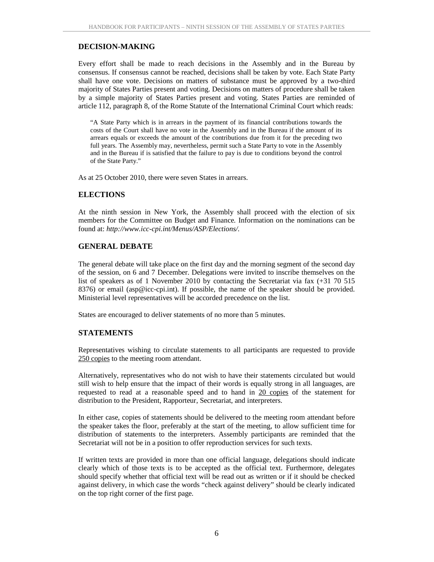## **DECISION-MAKING**

Every effort shall be made to reach decisions in the Assembly and in the Bureau by consensus. If consensus cannot be reached, decisions shall be taken by vote. Each State Party shall have one vote. Decisions on matters of substance must be approved by a two-third majority of States Parties present and voting. Decisions on matters of procedure shall be taken by a simple majority of States Parties present and voting. States Parties are reminded of article 112, paragraph 8, of the Rome Statute of the International Criminal Court which reads:

"A State Party which is in arrears in the payment of its financial contributions towards the costs of the Court shall have no vote in the Assembly and in the Bureau if the amount of its arrears equals or exceeds the amount of the contributions due from it for the preceding two full years. The Assembly may, nevertheless, permit such a State Party to vote in the Assembly and in the Bureau if is satisfied that the failure to pay is due to conditions beyond the control of the State Party."

As at 25 October 2010, there were seven States in arrears.

#### **ELECTIONS**

At the ninth session in New York, the Assembly shall proceed with the election of six members for the Committee on Budget and Finance*.* Information on the nominations can be found at: *http://www.icc-cpi.int/Menus/ASP/Elections/.* 

#### **GENERAL DEBATE**

The general debate will take place on the first day and the morning segment of the second day of the session, on 6 and 7 December. Delegations were invited to inscribe themselves on the list of speakers as of 1 November 2010 by contacting the Secretariat via fax (+31 70 515) 8376) or email (asp@icc-cpi.int). If possible, the name of the speaker should be provided. Ministerial level representatives will be accorded precedence on the list.

States are encouraged to deliver statements of no more than 5 minutes.

#### **STATEMENTS**

Representatives wishing to circulate statements to all participants are requested to provide 250 copies to the meeting room attendant.

Alternatively, representatives who do not wish to have their statements circulated but would still wish to help ensure that the impact of their words is equally strong in all languages, are requested to read at a reasonable speed and to hand in 20 copies of the statement for distribution to the President, Rapporteur, Secretariat, and interpreters.

In either case, copies of statements should be delivered to the meeting room attendant before the speaker takes the floor, preferably at the start of the meeting, to allow sufficient time for distribution of statements to the interpreters. Assembly participants are reminded that the Secretariat will not be in a position to offer reproduction services for such texts.

If written texts are provided in more than one official language, delegations should indicate clearly which of those texts is to be accepted as the official text. Furthermore, delegates should specify whether that official text will be read out as written or if it should be checked against delivery, in which case the words "check against delivery" should be clearly indicated on the top right corner of the first page.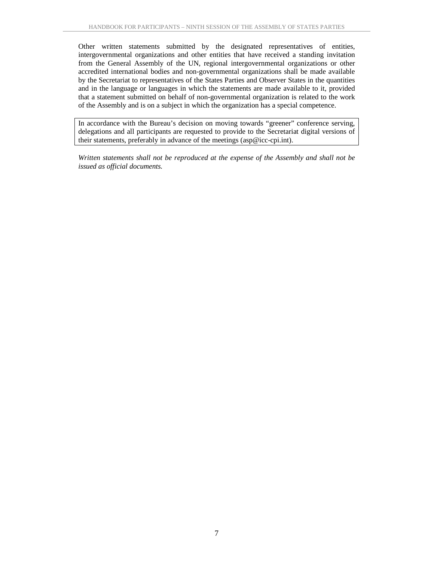Other written statements submitted by the designated representatives of entities, intergovernmental organizations and other entities that have received a standing invitation from the General Assembly of the UN, regional intergovernmental organizations or other accredited international bodies and non-governmental organizations shall be made available by the Secretariat to representatives of the States Parties and Observer States in the quantities and in the language or languages in which the statements are made available to it, provided that a statement submitted on behalf of non-governmental organization is related to the work of the Assembly and is on a subject in which the organization has a special competence.

In accordance with the Bureau's decision on moving towards "greener" conference serving, delegations and all participants are requested to provide to the Secretariat digital versions of their statements, preferably in advance of the meetings (asp@icc-cpi.int).

*Written statements shall not be reproduced at the expense of the Assembly and shall not be issued as official documents.*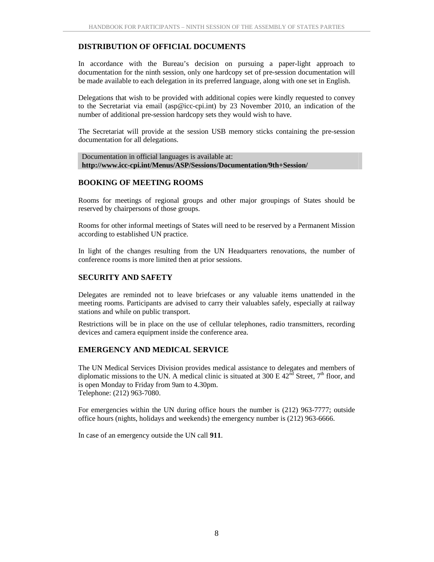## **DISTRIBUTION OF OFFICIAL DOCUMENTS**

In accordance with the Bureau's decision on pursuing a paper-light approach to documentation for the ninth session, only one hardcopy set of pre-session documentation will be made available to each delegation in its preferred language, along with one set in English.

Delegations that wish to be provided with additional copies were kindly requested to convey to the Secretariat via email (asp@icc-cpi.int) by 23 November 2010, an indication of the number of additional pre-session hardcopy sets they would wish to have.

The Secretariat will provide at the session USB memory sticks containing the pre-session documentation for all delegations.

Documentation in official languages is available at: **http://www.icc-cpi.int/Menus/ASP/Sessions/Documentation/9th+Session/**

#### **BOOKING OF MEETING ROOMS**

Rooms for meetings of regional groups and other major groupings of States should be reserved by chairpersons of those groups.

Rooms for other informal meetings of States will need to be reserved by a Permanent Mission according to established UN practice.

In light of the changes resulting from the UN Headquarters renovations, the number of conference rooms is more limited then at prior sessions.

### **SECURITY AND SAFETY**

Delegates are reminded not to leave briefcases or any valuable items unattended in the meeting rooms. Participants are advised to carry their valuables safely, especially at railway stations and while on public transport.

Restrictions will be in place on the use of cellular telephones, radio transmitters, recording devices and camera equipment inside the conference area.

### **EMERGENCY AND MEDICAL SERVICE**

The UN Medical Services Division provides medical assistance to delegates and members of diplomatic missions to the UN. A medical clinic is situated at 300 E  $42<sup>nd</sup>$  Street, 7<sup>th</sup> floor, and is open Monday to Friday from 9am to 4.30pm. Telephone: (212) 963-7080.

For emergencies within the UN during office hours the number is (212) 963-7777; outside office hours (nights, holidays and weekends) the emergency number is (212) 963-6666.

In case of an emergency outside the UN call **911**.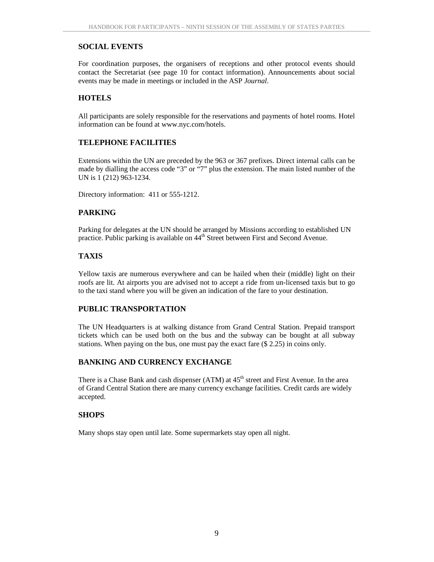## **SOCIAL EVENTS**

For coordination purposes, the organisers of receptions and other protocol events should contact the Secretariat (see page 10 for contact information). Announcements about social events may be made in meetings or included in the ASP *Journal*.

## **HOTELS**

All participants are solely responsible for the reservations and payments of hotel rooms. Hotel information can be found at www.nyc.com/hotels.

## **TELEPHONE FACILITIES**

Extensions within the UN are preceded by the 963 or 367 prefixes. Direct internal calls can be made by dialling the access code "3" or "7" plus the extension. The main listed number of the UN is 1 (212) 963-1234.

Directory information: 411 or 555-1212.

## **PARKING**

Parking for delegates at the UN should be arranged by Missions according to established UN practice. Public parking is available on 44<sup>th</sup> Street between First and Second Avenue.

### **TAXIS**

Yellow taxis are numerous everywhere and can be hailed when their (middle) light on their roofs are lit. At airports you are advised not to accept a ride from un-licensed taxis but to go to the taxi stand where you will be given an indication of the fare to your destination.

### **PUBLIC TRANSPORTATION**

The UN Headquarters is at walking distance from Grand Central Station. Prepaid transport tickets which can be used both on the bus and the subway can be bought at all subway stations. When paying on the bus, one must pay the exact fare (\$ 2.25) in coins only.

### **BANKING AND CURRENCY EXCHANGE**

There is a Chase Bank and cash dispenser (ATM) at 45<sup>th</sup> street and First Avenue. In the area of Grand Central Station there are many currency exchange facilities. Credit cards are widely accepted.

### **SHOPS**

Many shops stay open until late. Some supermarkets stay open all night.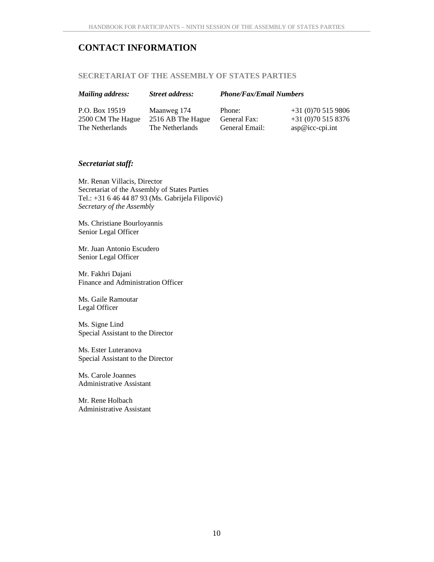# **CONTACT INFORMATION**

#### **SECRETARIAT OF THE ASSEMBLY OF STATES PARTIES**

| <b>Mailing address:</b> | <b>Street address:</b> | <b>Phone/Fax/Email Numbers</b> |                        |
|-------------------------|------------------------|--------------------------------|------------------------|
| P.O. Box 19519          | Maanweg 174            | Phone:                         | $+31(0)705159806$      |
| 2500 CM The Hague       | 2516 AB The Hague      | General Fax:                   | $+31(0)705158376$      |
| The Netherlands         | The Netherlands        | General Email:                 | $\exp@i\c{c}$ -cpi.int |

#### *Secretariat staff:*

Mr. Renan Villacis, Director Secretariat of the Assembly of States Parties Tel.: +31 6 46 44 87 93 (Ms. Gabrijela Filipović) *Secretary of the Assembly* 

Ms. Christiane Bourloyannis Senior Legal Officer

Mr. Juan Antonio Escudero Senior Legal Officer

Mr. Fakhri Dajani Finance and Administration Officer

Ms. Gaile Ramoutar Legal Officer

Ms. Signe Lind Special Assistant to the Director

Ms. Ester Luteranova Special Assistant to the Director

Ms. Carole Joannes Administrative Assistant

Mr. Rene Holbach Administrative Assistant